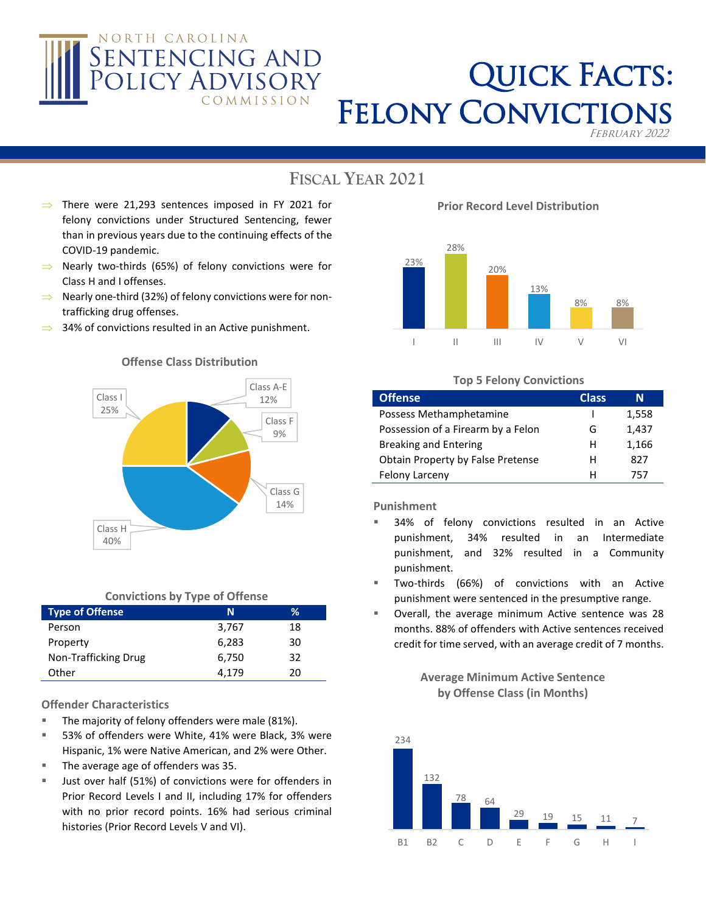

# QUICK FACTS: FELONY CONVICTIONS

February 2022

## **FISCAL YEAR 2021**

- $\Rightarrow$  There were 21,293 sentences imposed in FY 2021 for felony convictions under Structured Sentencing, fewer than in previous years due to the continuing effects of the COVID-19 pandemic.
- ⇒ Nearly two-thirds (65%) of felony convictions were for Class H and I offenses.
- ⇒ Nearly one-third (32%) of felony convictions were for nontrafficking drug offenses.
- ⇒ 34% of convictions resulted in an Active punishment.



#### **Offense Class Distribution**

#### **Convictions by Type of Offense**

| <b>Type of Offense</b> | N     | ℅  |
|------------------------|-------|----|
| Person                 | 3,767 | 18 |
| Property               | 6,283 | 30 |
| Non-Trafficking Drug   | 6,750 | 32 |
| Other                  | 4.179 | 20 |

**Offender Characteristics**

- **The majority of felony offenders were male (81%).**
- 53% of offenders were White, 41% were Black, 3% were Hispanic, 1% were Native American, and 2% were Other.
- The average age of offenders was 35.
- Just over half (51%) of convictions were for offenders in Prior Record Levels I and II, including 17% for offenders with no prior record points. 16% had serious criminal histories (Prior Record Levels V and VI).

**Prior Record Level Distribution**



#### **Top 5 Felony Convictions**

| <b>Offense</b>                     | <b>Class</b> | Ν     |
|------------------------------------|--------------|-------|
| Possess Methamphetamine            |              | 1,558 |
| Possession of a Firearm by a Felon | G            | 1,437 |
| Breaking and Entering              | н            | 1,166 |
| Obtain Property by False Pretense  | н            | 827   |
| <b>Felony Larceny</b>              | н            | 757   |

**Punishment**

- 34% of felony convictions resulted in an Active punishment, 34% resulted in an Intermediate punishment, and 32% resulted in a Community punishment.
- Two-thirds (66%) of convictions with an Active punishment were sentenced in the presumptive range.
- Overall, the average minimum Active sentence was 28 months. 88% of offenders with Active sentences received credit for time served, with an average credit of 7 months.

### **Average Minimum Active Sentence by Offense Class (in Months)**